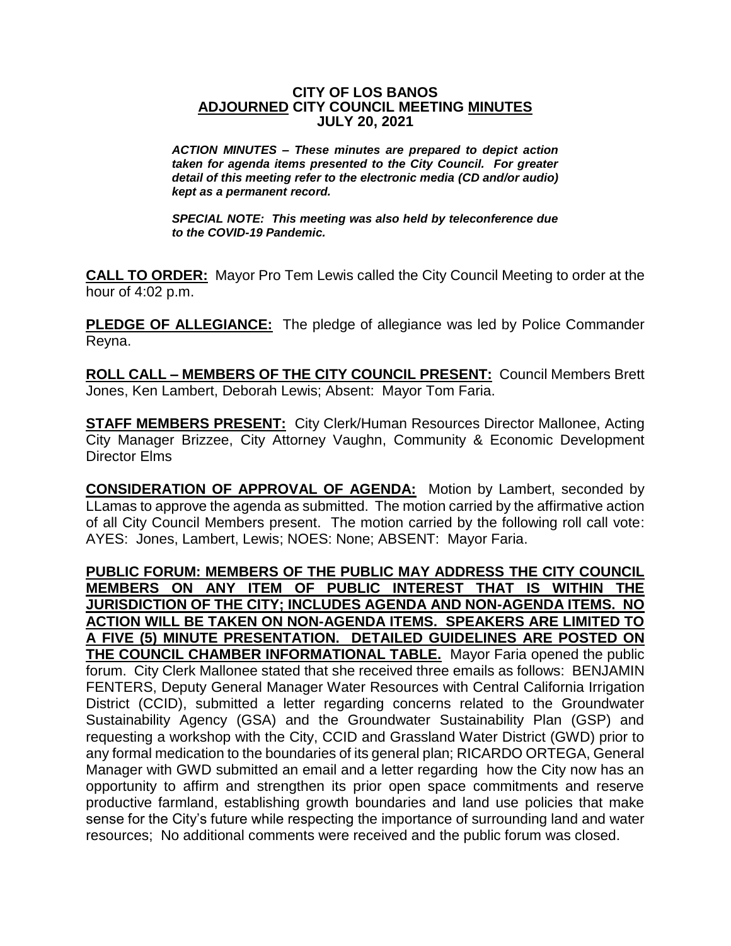## **CITY OF LOS BANOS ADJOURNED CITY COUNCIL MEETING MINUTES JULY 20, 2021**

*ACTION MINUTES – These minutes are prepared to depict action taken for agenda items presented to the City Council. For greater detail of this meeting refer to the electronic media (CD and/or audio) kept as a permanent record.*

*SPECIAL NOTE: This meeting was also held by teleconference due to the COVID-19 Pandemic.*

**CALL TO ORDER:** Mayor Pro Tem Lewis called the City Council Meeting to order at the hour of 4:02 p.m.

**PLEDGE OF ALLEGIANCE:** The pledge of allegiance was led by Police Commander Reyna.

**ROLL CALL – MEMBERS OF THE CITY COUNCIL PRESENT:** Council Members Brett Jones, Ken Lambert, Deborah Lewis; Absent: Mayor Tom Faria.

**STAFF MEMBERS PRESENT:** City Clerk/Human Resources Director Mallonee, Acting City Manager Brizzee, City Attorney Vaughn, Community & Economic Development Director Elms

**CONSIDERATION OF APPROVAL OF AGENDA:** Motion by Lambert, seconded by LLamas to approve the agenda as submitted. The motion carried by the affirmative action of all City Council Members present. The motion carried by the following roll call vote: AYES: Jones, Lambert, Lewis; NOES: None; ABSENT: Mayor Faria.

**PUBLIC FORUM: MEMBERS OF THE PUBLIC MAY ADDRESS THE CITY COUNCIL MEMBERS ON ANY ITEM OF PUBLIC INTEREST THAT IS WITHIN THE JURISDICTION OF THE CITY; INCLUDES AGENDA AND NON-AGENDA ITEMS. NO ACTION WILL BE TAKEN ON NON-AGENDA ITEMS. SPEAKERS ARE LIMITED TO A FIVE (5) MINUTE PRESENTATION. DETAILED GUIDELINES ARE POSTED ON THE COUNCIL CHAMBER INFORMATIONAL TABLE.** Mayor Faria opened the public forum. City Clerk Mallonee stated that she received three emails as follows: BENJAMIN FENTERS, Deputy General Manager Water Resources with Central California Irrigation District (CCID), submitted a letter regarding concerns related to the Groundwater Sustainability Agency (GSA) and the Groundwater Sustainability Plan (GSP) and requesting a workshop with the City, CCID and Grassland Water District (GWD) prior to any formal medication to the boundaries of its general plan; RICARDO ORTEGA, General Manager with GWD submitted an email and a letter regarding how the City now has an opportunity to affirm and strengthen its prior open space commitments and reserve productive farmland, establishing growth boundaries and land use policies that make sense for the City's future while respecting the importance of surrounding land and water resources; No additional comments were received and the public forum was closed.